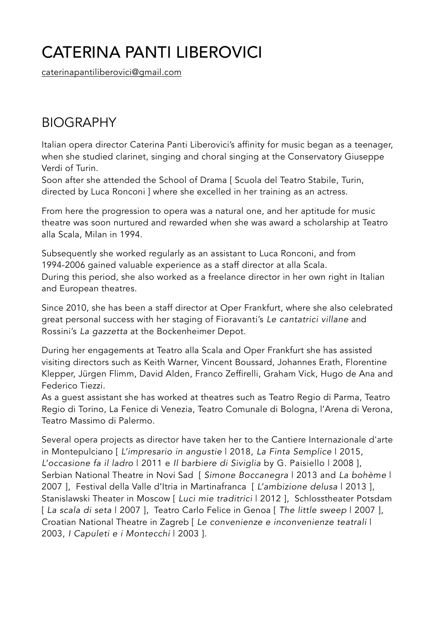## CATERINA PANTI LIBEROVICI

[caterinapantiliberovici@gmail.com](mailto:caterinapantiliberovici@gmail.com)

## BIOGRAPHY

Italian opera director Caterina Panti Liberovici's affinity for music began as a teenager, when she studied clarinet, singing and choral singing at the Conservatory Giuseppe Verdi of Turin.

Soon after she attended the School of Drama [ Scuola del Teatro Stabile, Turin, directed by Luca Ronconi ] where she excelled in her training as an actress.

From here the progression to opera was a natural one, and her aptitude for music theatre was soon nurtured and rewarded when she was award a scholarship at Teatro alla Scala, Milan in 1994.

Subsequently she worked regularly as an assistant to Luca Ronconi, and from 1994-2006 gained valuable experience as a staff director at alla Scala. During this period, she also worked as a freelance director in her own right in Italian and European theatres.

Since 2010, she has been a staff director at Oper Frankfurt, where she also celebrated great personal success with her staging of Fioravanti's *Le cantatrici villane* and Rossini's *La gazzetta* at the Bockenheimer Depot.

During her engagements at Teatro alla Scala and Oper Frankfurt she has assisted visiting directors such as Keith Warner, Vincent Boussard, Johannes Erath, Florentine Klepper, Jürgen Flimm, David Alden, Franco Zeffirelli, Graham Vick, Hugo de Ana and Federico Tiezzi.

As a guest assistant she has worked at theatres such as Teatro Regio di Parma, Teatro Regio di Torino, La Fenice di Venezia, Teatro Comunale di Bologna, l'Arena di Verona, Teatro Massimo di Palermo.

Several opera projects as director have taken her to the Cantiere Internazionale d'arte in Montepulciano [ *L'impresario in angustie* | 2018, *La Finta Semplice* | 2015, *L'occasione fa il ladro* | 2011 e *Il barbiere di Siviglia* by G. Paisiello | 2008 ], Serbian National Theatre in Novi Sad [ *Simone Boccanegra* | 2013 and *La bohème* | 2007 ], Festival della Valle d'Itria in Martinafranca [ *L'ambizione delusa* | 2013 ], Stanislawski Theater in Moscow [ *Luci mie traditrici* | 2012 ], Schlosstheater Potsdam [ *La scala di seta* | 2007 ], Teatro Carlo Felice in Genoa [ *The little sweep* | 2007 ], Croatian National Theatre in Zagreb [ *Le convenienze e inconvenienze teatrali* | 2003, *I Capuleti e i Montecchi* | 2003 ].